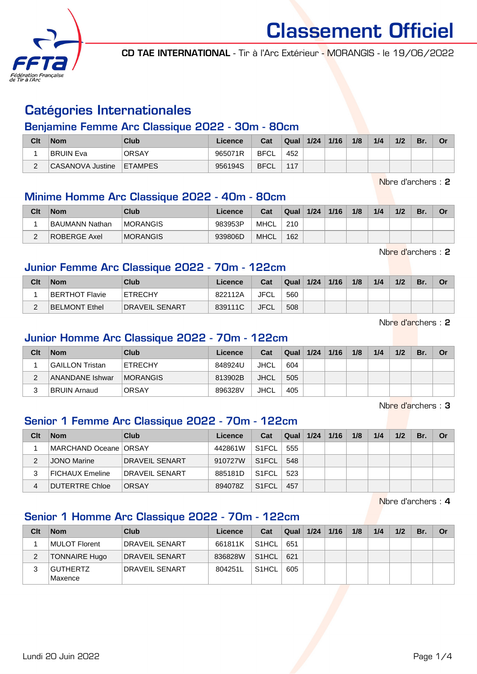

CD TAE INTERNATIONAL - Tir à l'Arc Extérieur - MORANGIS - le 19/06/2022

# Catégories Internationales

### Benjamine Femme Arc Classique 2022 - 30m - 80cm

| Clt | <b>Nom</b>       | Club           | Licence | Cat         | <b>Qual</b> | 1/24 | 1/16 | 1/8 | 1/4 | 1/2 | Br. | Or |
|-----|------------------|----------------|---------|-------------|-------------|------|------|-----|-----|-----|-----|----|
|     | BRUIN Eva        | <b>ORSAY</b>   | 965071R | BFCL        | 452         |      |      |     |     |     |     |    |
|     | CASANOVA Justine | <b>ETAMPES</b> | 956194S | <b>BFCL</b> | 117         |      |      |     |     |     |     |    |

Nbre d'archers : 2

#### Minime Homme Arc Classique 2022 - 40m - 80cm

| Clt | <b>Nom</b>     | Club            | Licence | Cat         | Qual | 1/24 | 1/16 | 1/8 | 1/4 | 1/2 | Br. | Or |
|-----|----------------|-----------------|---------|-------------|------|------|------|-----|-----|-----|-----|----|
|     | BAUMANN Nathan | <b>MORANGIS</b> | 983953P | MHCL        | 210  |      |      |     |     |     |     |    |
| ີ   | ROBERGE Axel   | <b>MORANGIS</b> | 939806D | <b>MHCL</b> | 162  |      |      |     |     |     |     |    |

Nbre d'archers : 2

#### Junior Femme Arc Classique 2022 - 70m - 122cm

| Clt | <b>Nom</b>     | Club                  | Licence | Cat         | Qual | 1/24 | 1/16 | 1/8 | 1/4 | 1/2 | Br. | Or |
|-----|----------------|-----------------------|---------|-------------|------|------|------|-----|-----|-----|-----|----|
|     | BERTHOT Flavie | <b>ETRECHY</b>        | 822112A | JFCL        | 560  |      |      |     |     |     |     |    |
|     | BELMONT Ethel  | <b>DRAVEIL SENART</b> | 839111C | <b>JFCL</b> | 508  |      |      |     |     |     |     |    |

Nbre d'archers : 2

#### Junior Homme Arc Classique 2022 - 70m - 122cm

| Clt | <b>Nom</b>          | Club            | Licence | Cat  | Qual | 1/24 | 1/16 | 1/8 | 1/4 | 1/2 | Br. | Or |
|-----|---------------------|-----------------|---------|------|------|------|------|-----|-----|-----|-----|----|
|     | GAILLON Tristan     | <b>ETRECHY</b>  | 848924U | JHCL | 604  |      |      |     |     |     |     |    |
| ∼   | ANANDANE Ishwar     | <b>MORANGIS</b> | 813902B | JHCL | 505  |      |      |     |     |     |     |    |
|     | <b>BRUIN Arnaud</b> | <b>ORSAY</b>    | 896328V | JHCL | 405  |      |      |     |     |     |     |    |

Nbre d'archers : 3

#### Senior 1 Femme Arc Classique 2022 - 70m - 122cm

| Clt | <b>Nom</b>              | Club           | Licence | Cat                | Qual | 1/24 | 1/16 | 1/8 | 1/4 | 1/2 | Br. | <b>Or</b> |
|-----|-------------------------|----------------|---------|--------------------|------|------|------|-----|-----|-----|-----|-----------|
|     | MARCHAND Oceane   ORSAY |                | 442861W | S <sub>1</sub> FCL | 555  |      |      |     |     |     |     |           |
|     | JONO Marine             | DRAVEIL SENART | 910727W | S <sub>1</sub> FCL | 548  |      |      |     |     |     |     |           |
|     | <b>FICHAUX Emeline</b>  | DRAVEIL SENART | 885181D | S <sub>1</sub> FCL | 523  |      |      |     |     |     |     |           |
| 4   | <b>DUTERTRE Chloe</b>   | <b>ORSAY</b>   | 894078Z | S <sub>1</sub> FCL | 457  |      |      |     |     |     |     |           |

Nbre d'archers : 4

# Senior 1 Homme Arc Classique 2022 - 70m - 122cm

| Clt | <b>Nom</b>                 | Club                  | Licence | Cat                | Qual | 1/24 | 1/16 | 1/8 | 1/4 | 1/2 | Br. | Or |
|-----|----------------------------|-----------------------|---------|--------------------|------|------|------|-----|-----|-----|-----|----|
|     | MULOT Florent              | <b>DRAVEIL SENART</b> | 661811K | `S1HCL             | 651  |      |      |     |     |     |     |    |
|     | <b>TONNAIRE Hugo</b>       | DRAVEIL SENART        | 836828W | S1HCL              | 621  |      |      |     |     |     |     |    |
|     | <b>GUTHERTZ</b><br>Maxence | DRAVEIL SENART        | 804251L | S <sub>1</sub> HCL | 605  |      |      |     |     |     |     |    |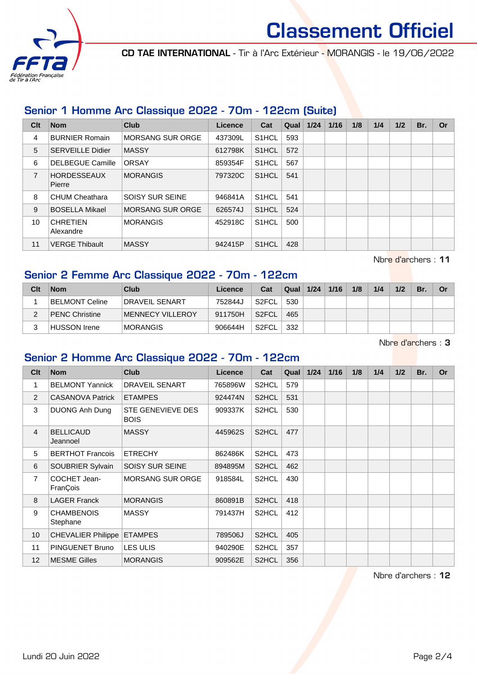

CD TAE INTERNATIONAL - Tir à l'Arc Extérieur - MORANGIS - le 19/06/2022

# Senior 1 Homme Arc Classique 2022 - 70m - 122cm (Suite)

| Clt            | <b>Nom</b>                   | Club                    | Licence | Cat                | Qual | 1/24 | 1/16 | 1/8 | 1/4 | 1/2 | Br. | Or |
|----------------|------------------------------|-------------------------|---------|--------------------|------|------|------|-----|-----|-----|-----|----|
| 4              | <b>BURNIER Romain</b>        | <b>MORSANG SUR ORGE</b> | 437309L | S <sub>1</sub> HCL | 593  |      |      |     |     |     |     |    |
| 5              | <b>SERVEILLE Didier</b>      | <b>MASSY</b>            | 612798K | S <sub>1</sub> HCL | 572  |      |      |     |     |     |     |    |
| 6              | <b>DELBEGUE Camille</b>      | <b>ORSAY</b>            | 859354F | S <sub>1</sub> HCL | 567  |      |      |     |     |     |     |    |
| $\overline{7}$ | <b>HORDESSEAUX</b><br>Pierre | <b>MORANGIS</b>         | 797320C | S <sub>1</sub> HCL | 541  |      |      |     |     |     |     |    |
| 8              | <b>CHUM Cheathara</b>        | <b>SOISY SUR SEINE</b>  | 946841A | S <sub>1</sub> HCL | 541  |      |      |     |     |     |     |    |
| 9              | <b>BOSELLA Mikael</b>        | <b>MORSANG SUR ORGE</b> | 626574J | S <sub>1</sub> HCL | 524  |      |      |     |     |     |     |    |
| 10             | <b>CHRETIEN</b><br>Alexandre | <b>MORANGIS</b>         | 452918C | S <sub>1</sub> HCL | 500  |      |      |     |     |     |     |    |
| 11             | <b>VERGE Thibault</b>        | <b>MASSY</b>            | 942415P | S <sub>1</sub> HCL | 428  |      |      |     |     |     |     |    |

Nbre d'archers : 11

# Senior 2 Femme Arc Classique 2022 - 70m - 122cm

| Clt | <b>Nom</b>            | Club                  | Licence | Cat                | Qual | 1/24 | 1/16 | 1/8 | 1/4 | 1/2 | Br. | Or |
|-----|-----------------------|-----------------------|---------|--------------------|------|------|------|-----|-----|-----|-----|----|
|     | BELMONT Celine        | <b>DRAVEIL SENART</b> | 752844J | S <sub>2</sub> FCL | 530  |      |      |     |     |     |     |    |
|     | <b>PENC Christine</b> | MENNECY VILLEROY      | 911750H | S <sub>2</sub> FCL | 465  |      |      |     |     |     |     |    |
| ົ   | HUSSON Irene          | <b>MORANGIS</b>       | 906644H | S <sub>2</sub> FCL | 332  |      |      |     |     |     |     |    |

Nbre d'archers : 3

# Senior 2 Homme Arc Classique 2022 - 70m - 122cm

| Cl <sub>t</sub> | <b>Nom</b>                    | <b>Club</b>                             | <b>Licence</b> | Cat                | Qual | 1/24 | 1/16 | 1/8 | 1/4 | 1/2 | Br. | <b>Or</b> |
|-----------------|-------------------------------|-----------------------------------------|----------------|--------------------|------|------|------|-----|-----|-----|-----|-----------|
| 1               | <b>BELMONT Yannick</b>        | <b>DRAVEIL SENART</b>                   | 765896W        | S2HCL              | 579  |      |      |     |     |     |     |           |
| 2               | <b>CASANOVA Patrick</b>       | <b>ETAMPES</b>                          | 924474N        | S2HCL              | 531  |      |      |     |     |     |     |           |
| 3               | DUONG Anh Dung                | <b>STE GENEVIEVE DES</b><br><b>BOIS</b> | 909337K        | S2HCL              | 530  |      |      |     |     |     |     |           |
| 4               | <b>BELLICAUD</b><br>Jeannoel  | <b>MASSY</b>                            | 445962S        | S2HCL              | 477  |      |      |     |     |     |     |           |
| 5               | <b>BERTHOT Francois</b>       | <b>ETRECHY</b>                          | 862486K        | S <sub>2</sub> HCL | 473  |      |      |     |     |     |     |           |
| 6               | SOUBRIER Sylvain              | <b>SOISY SUR SEINE</b>                  | 894895M        | S2HCL              | 462  |      |      |     |     |     |     |           |
| $\overline{7}$  | COCHET Jean-<br>FranÇois      | <b>MORSANG SUR ORGE</b>                 | 918584L        | S2HCL              | 430  |      |      |     |     |     |     |           |
| 8               | <b>LAGER Franck</b>           | <b>MORANGIS</b>                         | 860891B        | S <sub>2</sub> HCL | 418  |      |      |     |     |     |     |           |
| 9               | <b>CHAMBENOIS</b><br>Stephane | <b>MASSY</b>                            | 791437H        | S <sub>2</sub> HCL | 412  |      |      |     |     |     |     |           |
| 10              | <b>CHEVALIER Philippe</b>     | <b>ETAMPES</b>                          | 789506J        | S2HCL              | 405  |      |      |     |     |     |     |           |
| 11              | PINGUENET Bruno               | <b>LES ULIS</b>                         | 940290E        | S <sub>2</sub> HCL | 357  |      |      |     |     |     |     |           |
| 12              | <b>MESME Gilles</b>           | <b>MORANGIS</b>                         | 909562E        | S <sub>2</sub> HCL | 356  |      |      |     |     |     |     |           |

Nbre d'archers : 12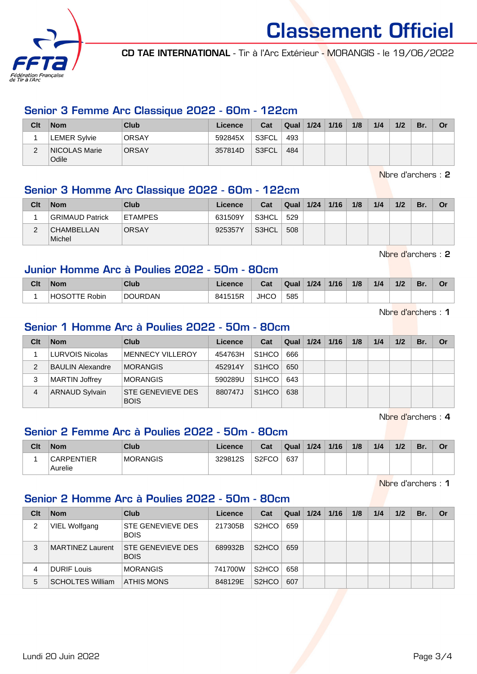

CD TAE INTERNATIONAL - Tir à l'Arc Extérieur - MORANGIS - le 19/06/2022

#### Senior 3 Femme Arc Classique 2022 - 60m - 122cm

| Clt | <b>Nom</b>                    | Club         | Licence | Cat   | Qual | 1/24 | 1/16 | 1/8 | 1/4 | 1/2 | Br. | Or |
|-----|-------------------------------|--------------|---------|-------|------|------|------|-----|-----|-----|-----|----|
|     | <b>LEMER Sylvie</b>           | <b>ORSAY</b> | 592845X | S3FCL | 493  |      |      |     |     |     |     |    |
| ∠   | NICOLAS Marie<br><b>Odile</b> | <b>ORSAY</b> | 357814D | S3FCL | 484  |      |      |     |     |     |     |    |

Nbre d'archers : 2

# Senior 3 Homme Arc Classique 2022 - 60m - 122cm

| Clt | <b>Nom</b>                  | Club           | Licence | Cat   | Qual | 1/24 | 1/16 | 1/8 | 1/4 | 1/2 | Br. | Or |
|-----|-----------------------------|----------------|---------|-------|------|------|------|-----|-----|-----|-----|----|
|     | <b>GRIMAUD Patrick</b>      | <b>ETAMPES</b> | 631509Y | S3HCL | 529  |      |      |     |     |     |     |    |
| C   | <b>CHAMBELLAN</b><br>Michel | <b>ORSAY</b>   | 925357Y | S3HCL | 508  |      |      |     |     |     |     |    |

Nbre d'archers : 2

# Junior Homme Arc à Poulies 2022 - 50m - 80cm

| Clt | <b>Nom</b>                                  | Club           | .icence | Cat         | Qual | 1/24 | 1/16 | 1/8 | 1/4 | 1/2 | Br. | Λ.<br>U |
|-----|---------------------------------------------|----------------|---------|-------------|------|------|------|-----|-----|-----|-----|---------|
|     | . HOSC<br>Robin<br>$\overline{\phantom{a}}$ | <b>DOURDAN</b> | 841515R | <b>JHCC</b> | 585  |      |      |     |     |     |     |         |

Nbre d'archers : 1

# Senior 1 Homme Arc à Poulies 2022 - 50m - 80cm

| Clt | <b>Nom</b>              | Club                             | Licence | Cat                | Qual | 1/24 | 1/16 | 1/8 | 1/4 | 1/2 | Br. | Or |
|-----|-------------------------|----------------------------------|---------|--------------------|------|------|------|-----|-----|-----|-----|----|
|     | LURVOIS Nicolas         | <b>MENNECY VILLEROY</b>          | 454763H | S <sub>1</sub> HCO | 666  |      |      |     |     |     |     |    |
| っ   | <b>BAULIN Alexandre</b> | <b>MORANGIS</b>                  | 452914Y | S <sub>1</sub> HCO | 650  |      |      |     |     |     |     |    |
| 3   | <b>MARTIN Joffrey</b>   | <b>MORANGIS</b>                  | 590289U | S <sub>1</sub> HCO | 643  |      |      |     |     |     |     |    |
| 4   | <b>ARNAUD Sylvain</b>   | STE GENEVIEVE DES<br><b>BOIS</b> | 880747J | S <sub>1</sub> HCO | 638  |      |      |     |     |     |     |    |

Nbre d'archers : 4

# Senior 2 Femme Arc à Poulies 2022 - 50m - 80cm

| Clt | <b>Nom</b>        | Club            | Licence | Cat                                  | Qual | 1/24 | 1/16 | 1/8 | 1/4 | 1/2 | 'Br. | Or |
|-----|-------------------|-----------------|---------|--------------------------------------|------|------|------|-----|-----|-----|------|----|
|     | <b>CARPENTIER</b> | <b>MORANGIS</b> | 329812S | S <sub>2</sub> FC <sub>O</sub><br>◡◡ | 637  |      |      |     |     |     |      |    |
|     | Aurelie           |                 |         |                                      |      |      |      |     |     |     |      |    |

Nbre d'archers : 1

# Senior 2 Homme Arc à Poulies 2022 - 50m - 80cm

| Clt | <b>Nom</b>              | Club                                    | Licence | Cat                            | Qual | 1/24 | 1/16 | 1/8 | 1/4 | 1/2 | Br. | Or |
|-----|-------------------------|-----------------------------------------|---------|--------------------------------|------|------|------|-----|-----|-----|-----|----|
| 2   | VIEL Wolfgang           | <b>STE GENEVIEVE DES</b><br><b>BOIS</b> | 217305B | S2HCO                          | 659  |      |      |     |     |     |     |    |
| 3   | MARTINEZ Laurent        | <b>STE GENEVIEVE DES</b><br><b>BOIS</b> | 689932B | S <sub>2</sub> HCO             | 659  |      |      |     |     |     |     |    |
| 4   | <b>DURIF Louis</b>      | <b>MORANGIS</b>                         | 741700W | S2HCO                          | 658  |      |      |     |     |     |     |    |
| 5   | <b>SCHOLTES William</b> | <b>ATHIS MONS</b>                       | 848129E | S <sub>2</sub> H <sub>CO</sub> | 607  |      |      |     |     |     |     |    |

Lundi 20 Juin 2022 Page 3/4